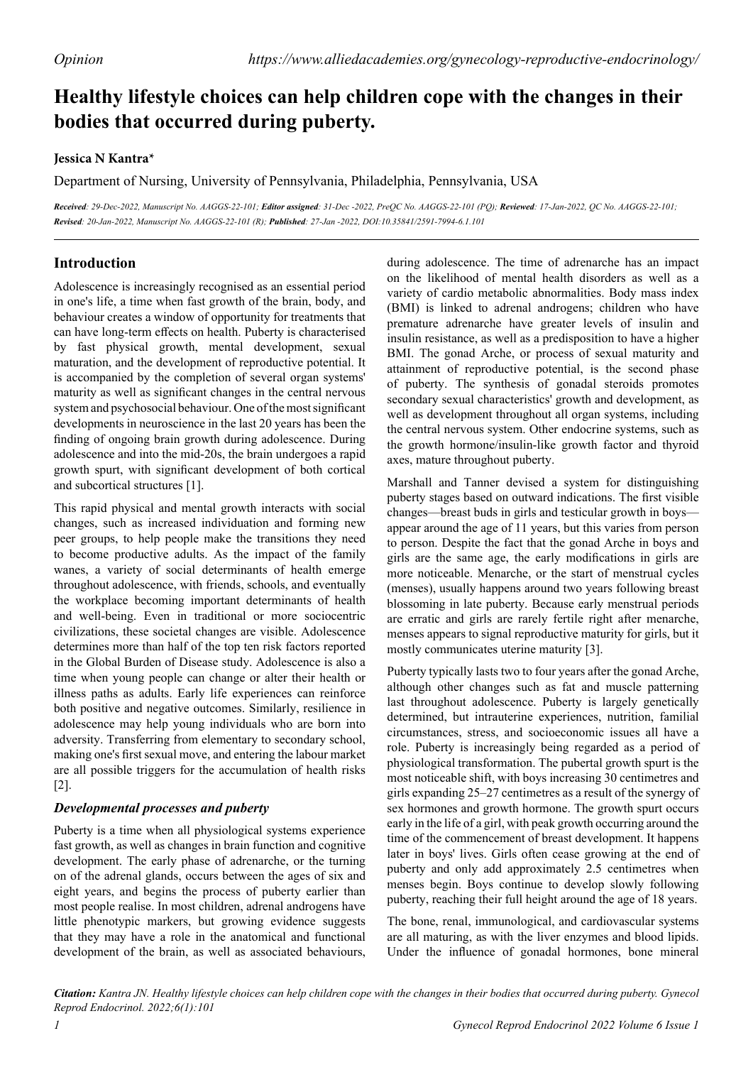# **Healthy lifestyle choices can help children cope with the changes in their bodies that occurred during puberty.**

## **Jessica N Kantra\***

Department of Nursing, University of Pennsylvania, Philadelphia, Pennsylvania, USA

*Received: 29-Dec-2022, Manuscript No. AAGGS-22-101; Editor assigned: 31-Dec -2022, PreQC No. AAGGS-22-101 (PQ); Reviewed: 17-Jan-2022, QC No. AAGGS-22-101; Revised: 20-Jan-2022, Manuscript No. AAGGS-22-101 (R); Published: 27-Jan -2022, DOI:10.35841/2591-7994-6.1.101* 

# **Introduction**

Adolescence is increasingly recognised as an essential period in one's life, a time when fast growth of the brain, body, and behaviour creates a window of opportunity for treatments that can have long-term effects on health. Puberty is characterised by fast physical growth, mental development, sexual maturation, and the development of reproductive potential. It is accompanied by the completion of several organ systems' maturity as well as significant changes in the central nervous system and psychosocial behaviour. One of the most significant developments in neuroscience in the last 20 years has been the finding of ongoing brain growth during adolescence. During adolescence and into the mid-20s, the brain undergoes a rapid growth spurt, with significant development of both cortical and subcortical structures [1].

This rapid physical and mental growth interacts with social changes, such as increased individuation and forming new peer groups, to help people make the transitions they need to become productive adults. As the impact of the family wanes, a variety of social determinants of health emerge throughout adolescence, with friends, schools, and eventually the workplace becoming important determinants of health and well-being. Even in traditional or more sociocentric civilizations, these societal changes are visible. Adolescence determines more than half of the top ten risk factors reported in the Global Burden of Disease study. Adolescence is also a time when young people can change or alter their health or illness paths as adults. Early life experiences can reinforce both positive and negative outcomes. Similarly, resilience in adolescence may help young individuals who are born into adversity. Transferring from elementary to secondary school, making one's first sexual move, and entering the labour market are all possible triggers for the accumulation of health risks [2].

### *Developmental processes and puberty*

Puberty is a time when all physiological systems experience fast growth, as well as changes in brain function and cognitive development. The early phase of adrenarche, or the turning on of the adrenal glands, occurs between the ages of six and eight years, and begins the process of puberty earlier than most people realise. In most children, adrenal androgens have little phenotypic markers, but growing evidence suggests that they may have a role in the anatomical and functional development of the brain, as well as associated behaviours,

during adolescence. The time of adrenarche has an impact on the likelihood of mental health disorders as well as a variety of cardio metabolic abnormalities. Body mass index (BMI) is linked to adrenal androgens; children who have premature adrenarche have greater levels of insulin and insulin resistance, as well as a predisposition to have a higher BMI. The gonad Arche, or process of sexual maturity and attainment of reproductive potential, is the second phase of puberty. The synthesis of gonadal steroids promotes secondary sexual characteristics' growth and development, as well as development throughout all organ systems, including the central nervous system. Other endocrine systems, such as the growth hormone/insulin-like growth factor and thyroid axes, mature throughout puberty.

Marshall and Tanner devised a system for distinguishing puberty stages based on outward indications. The first visible changes—breast buds in girls and testicular growth in boys appear around the age of 11 years, but this varies from person to person. Despite the fact that the gonad Arche in boys and girls are the same age, the early modifications in girls are more noticeable. Menarche, or the start of menstrual cycles (menses), usually happens around two years following breast blossoming in late puberty. Because early menstrual periods are erratic and girls are rarely fertile right after menarche, menses appears to signal reproductive maturity for girls, but it mostly communicates uterine maturity [3].

Puberty typically lasts two to four years after the gonad Arche, although other changes such as fat and muscle patterning last throughout adolescence. Puberty is largely genetically determined, but intrauterine experiences, nutrition, familial circumstances, stress, and socioeconomic issues all have a role. Puberty is increasingly being regarded as a period of physiological transformation. The pubertal growth spurt is the most noticeable shift, with boys increasing 30 centimetres and girls expanding 25–27 centimetres as a result of the synergy of sex hormones and growth hormone. The growth spurt occurs early in the life of a girl, with peak growth occurring around the time of the commencement of breast development. It happens later in boys' lives. Girls often cease growing at the end of puberty and only add approximately 2.5 centimetres when menses begin. Boys continue to develop slowly following puberty, reaching their full height around the age of 18 years.

The bone, renal, immunological, and cardiovascular systems are all maturing, as with the liver enzymes and blood lipids. Under the influence of gonadal hormones, bone mineral

*Citation: Kantra JN. Healthy lifestyle choices can help children cope with the changes in their bodies that occurred during puberty. Gynecol Reprod Endocrinol. 2022;6(1):101*